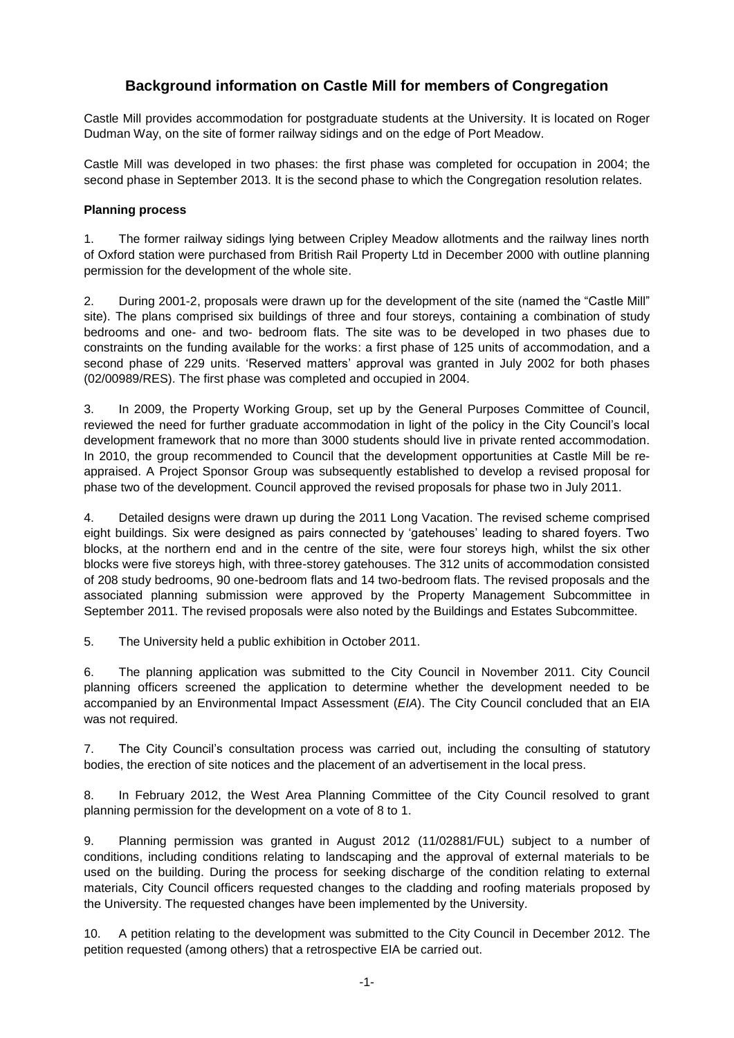# **Background information on Castle Mill for members of Congregation**

Castle Mill provides accommodation for postgraduate students at the University. It is located on Roger Dudman Way, on the site of former railway sidings and on the edge of Port Meadow.

Castle Mill was developed in two phases: the first phase was completed for occupation in 2004; the second phase in September 2013. It is the second phase to which the Congregation resolution relates.

## **Planning process**

1. The former railway sidings lying between Cripley Meadow allotments and the railway lines north of Oxford station were purchased from British Rail Property Ltd in December 2000 with outline planning permission for the development of the whole site.

2. During 2001-2, proposals were drawn up for the development of the site (named the "Castle Mill" site). The plans comprised six buildings of three and four storeys, containing a combination of study bedrooms and one- and two- bedroom flats. The site was to be developed in two phases due to constraints on the funding available for the works: a first phase of 125 units of accommodation, and a second phase of 229 units. 'Reserved matters' approval was granted in July 2002 for both phases (02/00989/RES). The first phase was completed and occupied in 2004.

3. In 2009, the Property Working Group, set up by the General Purposes Committee of Council, reviewed the need for further graduate accommodation in light of the policy in the City Council's local development framework that no more than 3000 students should live in private rented accommodation. In 2010, the group recommended to Council that the development opportunities at Castle Mill be reappraised. A Project Sponsor Group was subsequently established to develop a revised proposal for phase two of the development. Council approved the revised proposals for phase two in July 2011.

4. Detailed designs were drawn up during the 2011 Long Vacation. The revised scheme comprised eight buildings. Six were designed as pairs connected by 'gatehouses' leading to shared foyers. Two blocks, at the northern end and in the centre of the site, were four storeys high, whilst the six other blocks were five storeys high, with three-storey gatehouses. The 312 units of accommodation consisted of 208 study bedrooms, 90 one-bedroom flats and 14 two-bedroom flats. The revised proposals and the associated planning submission were approved by the Property Management Subcommittee in September 2011. The revised proposals were also noted by the Buildings and Estates Subcommittee.

5. The University held a public exhibition in October 2011.

6. The planning application was submitted to the City Council in November 2011. City Council planning officers screened the application to determine whether the development needed to be accompanied by an Environmental Impact Assessment (*EIA*). The City Council concluded that an EIA was not required.

7. The City Council's consultation process was carried out, including the consulting of statutory bodies, the erection of site notices and the placement of an advertisement in the local press.

8. In February 2012, the West Area Planning Committee of the City Council resolved to grant planning permission for the development on a vote of 8 to 1.

9. Planning permission was granted in August 2012 (11/02881/FUL) subject to a number of conditions, including conditions relating to landscaping and the approval of external materials to be used on the building. During the process for seeking discharge of the condition relating to external materials, City Council officers requested changes to the cladding and roofing materials proposed by the University. The requested changes have been implemented by the University.

10. A petition relating to the development was submitted to the City Council in December 2012. The petition requested (among others) that a retrospective EIA be carried out.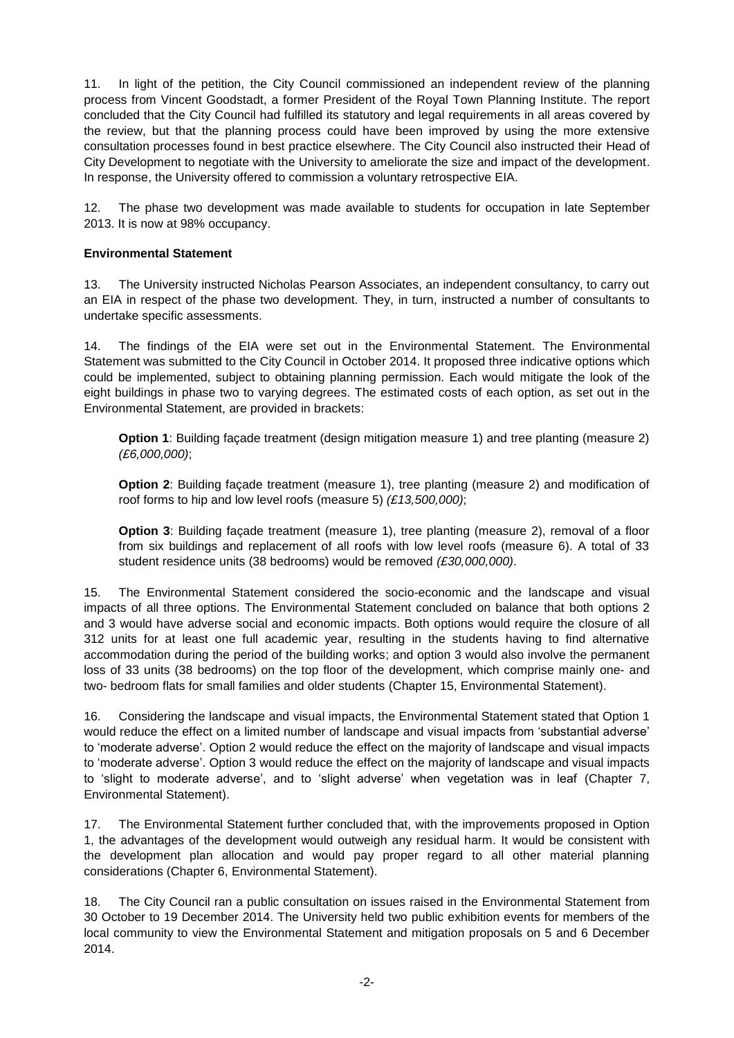11. In light of the petition, the City Council commissioned an independent review of the planning process from Vincent Goodstadt, a former President of the Royal Town Planning Institute. The report concluded that the City Council had fulfilled its statutory and legal requirements in all areas covered by the review, but that the planning process could have been improved by using the more extensive consultation processes found in best practice elsewhere. The City Council also instructed their Head of City Development to negotiate with the University to ameliorate the size and impact of the development. In response, the University offered to commission a voluntary retrospective EIA.

12. The phase two development was made available to students for occupation in late September 2013. It is now at 98% occupancy.

### **Environmental Statement**

13. The University instructed Nicholas Pearson Associates, an independent consultancy, to carry out an EIA in respect of the phase two development. They, in turn, instructed a number of consultants to undertake specific assessments.

14. The findings of the EIA were set out in the Environmental Statement. The Environmental Statement was submitted to the City Council in October 2014. It proposed three indicative options which could be implemented, subject to obtaining planning permission. Each would mitigate the look of the eight buildings in phase two to varying degrees. The estimated costs of each option, as set out in the Environmental Statement, are provided in brackets:

**Option 1**: Building façade treatment (design mitigation measure 1) and tree planting (measure 2) *(£6,000,000)*;

**Option 2**: Building façade treatment (measure 1), tree planting (measure 2) and modification of roof forms to hip and low level roofs (measure 5) *(£13,500,000)*;

**Option 3**: Building façade treatment (measure 1), tree planting (measure 2), removal of a floor from six buildings and replacement of all roofs with low level roofs (measure 6). A total of 33 student residence units (38 bedrooms) would be removed *(£30,000,000)*.

15. The Environmental Statement considered the socio-economic and the landscape and visual impacts of all three options. The Environmental Statement concluded on balance that both options 2 and 3 would have adverse social and economic impacts. Both options would require the closure of all 312 units for at least one full academic year, resulting in the students having to find alternative accommodation during the period of the building works; and option 3 would also involve the permanent loss of 33 units (38 bedrooms) on the top floor of the development, which comprise mainly one- and two- bedroom flats for small families and older students (Chapter 15, Environmental Statement).

16. Considering the landscape and visual impacts, the Environmental Statement stated that Option 1 would reduce the effect on a limited number of landscape and visual impacts from 'substantial adverse' to 'moderate adverse'. Option 2 would reduce the effect on the majority of landscape and visual impacts to 'moderate adverse'. Option 3 would reduce the effect on the majority of landscape and visual impacts to 'slight to moderate adverse', and to 'slight adverse' when vegetation was in leaf (Chapter 7, Environmental Statement).

17. The Environmental Statement further concluded that, with the improvements proposed in Option 1, the advantages of the development would outweigh any residual harm. It would be consistent with the development plan allocation and would pay proper regard to all other material planning considerations (Chapter 6, Environmental Statement).

18. The City Council ran a public consultation on issues raised in the Environmental Statement from 30 October to 19 December 2014. The University held two public exhibition events for members of the local community to view the Environmental Statement and mitigation proposals on 5 and 6 December 2014.